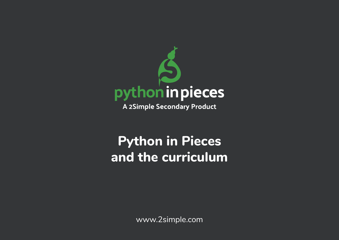

A 2Simple Secondary Product

## **Python in Pieces and the curriculum**

www.2simple.com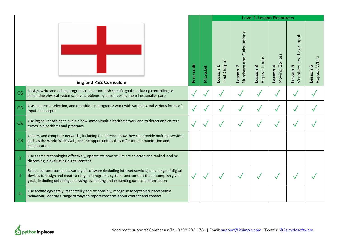|                        |                                                                                                                                                                                                                                                                                            |           |                  |                                                      |                                                            |                                    | <b>Level 1 Lesson Resources</b> |                                                 |                          |
|------------------------|--------------------------------------------------------------------------------------------------------------------------------------------------------------------------------------------------------------------------------------------------------------------------------------------|-----------|------------------|------------------------------------------------------|------------------------------------------------------------|------------------------------------|---------------------------------|-------------------------------------------------|--------------------------|
|                        | <b>England KS2 Curriculum</b>                                                                                                                                                                                                                                                              | Free code | <b>Micro:bit</b> | <b>Text Output</b><br>$\blacktriangleleft$<br>Lesson | and Calculations<br>Numbers<br>$\mathbf{\Omega}$<br>Lesson | Repeat Loops<br>$\omega$<br>Lesson | Moving Sprites<br>4<br>Lesson   | Variables and User Input<br>Lesson <sub>5</sub> | Repeat While<br>Lesson 6 |
| CS                     | Design, write and debug programs that accomplish specific goals, including controlling or<br>simulating physical systems; solve problems by decomposing them into smaller parts                                                                                                            |           | √                |                                                      |                                                            |                                    |                                 |                                                 |                          |
| CS                     | Use sequence, selection, and repetition in programs; work with variables and various forms of<br>input and output                                                                                                                                                                          |           | √                | $\checkmark$                                         | ✓                                                          | $\checkmark$                       |                                 | $\checkmark$                                    |                          |
| CS                     | Use logical reasoning to explain how some simple algorithms work and to detect and correct<br>errors in algorithms and programs                                                                                                                                                            |           |                  |                                                      |                                                            |                                    |                                 |                                                 |                          |
| <b>CS</b>              | Understand computer networks, including the internet; how they can provide multiple services,<br>such as the World Wide Web, and the opportunities they offer for communication and<br>collaboration                                                                                       |           |                  |                                                      |                                                            |                                    |                                 |                                                 |                          |
| $\mathsf{I}\mathsf{T}$ | Use search technologies effectively, appreciate how results are selected and ranked, and be<br>discerning in evaluating digital content                                                                                                                                                    |           |                  |                                                      |                                                            |                                    |                                 |                                                 |                          |
| $\mathsf{I}\mathsf{T}$ | Select, use and combine a variety of software (including internet services) on a range of digital<br>devices to design and create a range of programs, systems and content that accomplish given<br>goals, including collecting, analysing, evaluating and presenting data and information |           |                  |                                                      |                                                            |                                    |                                 |                                                 |                          |
| <b>DL</b>              | Use technology safely, respectfully and responsibly; recognise acceptable/unacceptable<br>behaviour; identify a range of ways to report concerns about content and contact                                                                                                                 |           |                  |                                                      |                                                            |                                    |                                 |                                                 |                          |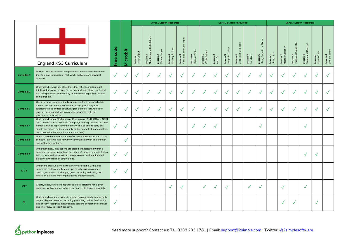|                  |                                                                                                                                                                                                                                                                                                                           |              |              |                         |                                      |                          | <b>Level 1 Lesson Resources</b> |                                      |                          |                         |                     | <b>Level 2 Lesson Resources</b> |                                 |                       |                                                                        |                         |                              |                                       | <b>Level 3 Lesson Resources</b> |                       |                           |
|------------------|---------------------------------------------------------------------------------------------------------------------------------------------------------------------------------------------------------------------------------------------------------------------------------------------------------------------------|--------------|--------------|-------------------------|--------------------------------------|--------------------------|---------------------------------|--------------------------------------|--------------------------|-------------------------|---------------------|---------------------------------|---------------------------------|-----------------------|------------------------------------------------------------------------|-------------------------|------------------------------|---------------------------------------|---------------------------------|-----------------------|---------------------------|
|                  | <b>England KS3 Curriculum</b>                                                                                                                                                                                                                                                                                             | Free code    | Vicro:bit    | Lesson 1<br>Text Output | Lesson 2<br>Numbers and Calculations | Lesson 3<br>Repeat Loops | Lesson 4<br>Moving Sprites      | Lesson 5<br>Variables and User Input | Lesson 6<br>Repeat While | Lesson 1<br>While Loops | Lesson 2<br>And, Or | Loops in Action<br>Lesson 3     | Loops and Selection<br>Lesson 4 | Lesson 5<br>Functions | Game<br>$\varpi$<br>$\mathrel{\mathop:}=$<br>Lesson 6<br>Using Sound i | Lesson 1<br>Using Lists | Lesson 2<br>Nested Selection | <b>Lesson 3</b><br>Password Generator | Lesson 4<br>Binary and Decimal  | Lesson5<br>Morse Code | Lesson 6<br>Linear Search |
| Comp Sci 1       | Design, use and evaluate computational abstractions that model<br>the state and behaviour of real-world problems and physical<br>systems.                                                                                                                                                                                 |              |              |                         | $\sqrt{}$                            | $\sqrt{}$                | $\checkmark$                    |                                      | $\checkmark$             | $\sqrt{}$               |                     | $\sqrt{}$                       | $\checkmark$                    | $\checkmark$          | $\checkmark$                                                           | $\checkmark$            | $\checkmark$                 | $\checkmark$                          | √                               | $\checkmark$          |                           |
| Comp Sci 2       | Understand several key algorithms that reflect computational<br>thinking [for example, ones for sorting and searching]; use logical<br>reasoning to compare the utility of alternative algorithms for the<br>same problem.                                                                                                |              |              |                         |                                      |                          | $\checkmark$                    |                                      |                          | $\checkmark$            |                     | $\overline{\mathbf{v}}$         | $\checkmark$                    | $\checkmark$          | $\checkmark$                                                           |                         | $\checkmark$                 | $\sqrt{}$                             |                                 | $\checkmark$          |                           |
| Comp Sci 3       | Use 2 or more programming languages, at least one of which is<br>textual, to solve a variety of computational problems; make<br>appropriate use of data structures [for example, lists, tables or<br>arrays]; design and develop modular programs that use<br>procedures or functions.                                    |              |              | $\checkmark$            | $\checkmark$                         | $\checkmark$             | $\checkmark$                    | $\sqrt{}$                            | $\checkmark$             | $\checkmark$            |                     | $\checkmark$                    | $\checkmark$                    | $\checkmark$          | $\checkmark$                                                           | $\checkmark$            | $\checkmark$                 | $\checkmark$                          | $\sqrt{}$                       | $\checkmark$          |                           |
| Comp Sci 4       | Understand simple Boolean logic [for example, AND, OR and NOT]<br>and some of its uses in circuits and programming; understand how<br>numbers can be represented in binary, and be able to carry out<br>simple operations on binary numbers [for example, binary addition,<br>and conversion between binary and decimal]. |              | $\sqrt{}$    |                         |                                      |                          |                                 |                                      | $\checkmark$             | $\sqrt{}$               | $\checkmark$        |                                 |                                 |                       | $\checkmark$                                                           |                         |                              |                                       |                                 |                       |                           |
| Comp Sci 5       | Understand the hardware and software components that make up<br>computer systems, and how they communicate with one another<br>and with other systems.                                                                                                                                                                    |              | $\checkmark$ |                         |                                      |                          |                                 |                                      |                          |                         |                     |                                 |                                 |                       |                                                                        |                         |                              |                                       |                                 |                       |                           |
| Comp Sci 6       | Understand how instructions are stored and executed within a<br>computer system; understand how data of various types (including<br>text, sounds and pictures) can be represented and manipulated<br>digitally, in the form of binary digits.                                                                             |              |              |                         |                                      |                          |                                 |                                      |                          |                         |                     |                                 |                                 |                       |                                                                        |                         |                              |                                       |                                 | $\checkmark$          |                           |
| ICT <sub>1</sub> | Undertake creative projects that involve selecting, using, and<br>combining multiple applications, preferably across a range of<br>devices, to achieve challenging goals, including collecting and<br>analysing data and meeting the needs of known users.                                                                | $\sqrt{}$    |              |                         |                                      |                          |                                 |                                      |                          |                         |                     |                                 |                                 |                       |                                                                        |                         |                              |                                       |                                 |                       |                           |
| ICT <sub>2</sub> | Create, reuse, revise and repurpose digital artefacts for a given<br>audience, with attention to trustworthiness, design and usability.                                                                                                                                                                                   | $\checkmark$ |              |                         |                                      |                          | $\overline{v}$                  | $\checkmark$                         |                          | $\checkmark$            | √                   | $\checkmark$                    |                                 | $\checkmark$          | $\checkmark$                                                           |                         | $\checkmark$                 |                                       | $\sqrt{}$                       |                       |                           |
| <b>DL</b>        | Understand a range of ways to use technology safely, respectfully,<br>responsibly and securely, including protecting their online identity<br>and privacy; recognise inappropriate content, contact and conduct,<br>and know how to report concerns.                                                                      | $\sqrt{}$    |              |                         |                                      |                          |                                 |                                      |                          |                         |                     |                                 |                                 |                       |                                                                        |                         | $\checkmark$                 | $\checkmark$                          |                                 | $\checkmark$          |                           |

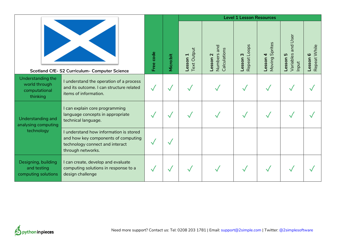|                                                                 |                                                                                                                                       |              |                  |                                           |                                            | <b>Level 1 Lesson Resources</b>                     |                                  |                                               |                                                 |
|-----------------------------------------------------------------|---------------------------------------------------------------------------------------------------------------------------------------|--------------|------------------|-------------------------------------------|--------------------------------------------|-----------------------------------------------------|----------------------------------|-----------------------------------------------|-------------------------------------------------|
|                                                                 | Scotland CfE-S2 Curriculum- Computer Science                                                                                          | Free code    | <b>Micro:bit</b> | <b>Text Output</b><br>Lesson <sub>1</sub> | pue<br>Calculations<br>Numbers<br>_esson 2 | w<br>Repeat Loop<br>$\boldsymbol{\omega}$<br>Lesson | Sprites<br>4<br>Moving<br>Lesson | and User<br>Variables<br>5<br>Lesson<br>Input | Repeat While<br>$\boldsymbol{\omega}$<br>Lesson |
| Understanding the<br>world through<br>computational<br>thinking | I understand the operation of a process<br>and its outcome. I can structure related<br>items of information.                          | $\checkmark$ | √                |                                           |                                            |                                                     |                                  |                                               |                                                 |
| Understanding and<br>analysing computing                        | I can explain core programming<br>language concepts in appropriate<br>technical language.                                             |              | $\checkmark$     |                                           |                                            |                                                     |                                  |                                               |                                                 |
| technology                                                      | I understand how information is stored<br>and how key components of computing<br>technology connect and interact<br>through networks. | √            | $\checkmark$     |                                           |                                            |                                                     |                                  |                                               |                                                 |
| Designing, building<br>and testing<br>computing solutions       | I can create, develop and evaluate<br>computing solutions in response to a<br>design challenge                                        |              | $\checkmark$     |                                           |                                            |                                                     |                                  |                                               |                                                 |

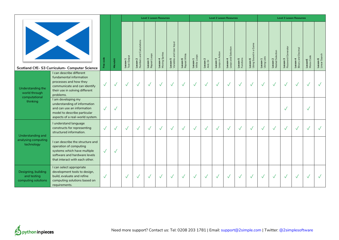|                                                                                                                                                                                                      |                                                                                                                                                             |              |                  |                         |                                                      |                          | <b>Level 1 Lesson Resources</b> |                                           |                          |                         |                     | <b>Level 2 Lesson Resources</b> |                                      |                       |                                                           |                         |                              |                                | <b>Level 3 Lesson Resources</b> |                       |                           |
|------------------------------------------------------------------------------------------------------------------------------------------------------------------------------------------------------|-------------------------------------------------------------------------------------------------------------------------------------------------------------|--------------|------------------|-------------------------|------------------------------------------------------|--------------------------|---------------------------------|-------------------------------------------|--------------------------|-------------------------|---------------------|---------------------------------|--------------------------------------|-----------------------|-----------------------------------------------------------|-------------------------|------------------------------|--------------------------------|---------------------------------|-----------------------|---------------------------|
|                                                                                                                                                                                                      | Scotland CfE-S3 Curriculum- Computer Science                                                                                                                | Free code    | <b>Micro:bit</b> | Lesson 1<br>Text Output | Calculations<br>$rac{1}{2}$<br>Lesson 2<br>Numbers a | Lesson 3<br>Repeat Loops | Lesson 4<br>Moving Sprites      | and User Input<br>Lesson 5<br>Variables a | Lesson 6<br>Repeat While | Lesson 1<br>While Loops | Lesson 2<br>And, Or | Lesson 3<br>Loops in Action     | Selection<br>Lesson 4<br>Loops and : | Lesson 5<br>Functions | Game<br>$\sigma$<br>$\equiv$<br>Lesson 6<br>Using Sound i | Lesson 1<br>Using Lists | Lesson 2<br>Nested Selection | Password Generator<br>Lesson 3 | Lesson 4<br>Binary and Decimal  | Lesson5<br>Morse Code | Lesson 6<br>Linear Search |
| Understanding the<br>world through<br>computational                                                                                                                                                  | can describe different<br>fundamental information<br>processes and how they<br>communicate and can identify<br>their use in solving different<br>problems.  | $\checkmark$ | $\checkmark$     | $\sqrt{}$               | $\sqrt{}$                                            | $\checkmark$             | $\checkmark$                    | $\checkmark$                              | $\checkmark$             | $\checkmark$            | $\sqrt{}$           | $\checkmark$                    | $\checkmark$                         | $\checkmark$          | $\checkmark$                                              | $\checkmark$            | $\checkmark$                 | $\checkmark$                   | $\sqrt{}$                       | $\checkmark$          |                           |
| thinking                                                                                                                                                                                             | I am developing my<br>understanding of information<br>and can use an information<br>model to describe particular<br>aspects of a real-world system.         | $\sqrt{}$    | $\checkmark$     |                         |                                                      |                          |                                 |                                           |                          |                         |                     |                                 |                                      |                       |                                                           |                         |                              |                                |                                 |                       |                           |
| Understanding and                                                                                                                                                                                    | I understand language<br>constructs for representing<br>structured information.                                                                             | $\sqrt{}$    | $\checkmark$     |                         | $\checkmark$                                         | $\checkmark$             | $\checkmark$                    | $\sqrt{}$                                 | √                        | $\checkmark$            | $\sqrt{}$           | $\sqrt{}$                       | $\checkmark$                         | $\sqrt{}$             | $\checkmark$                                              | $\checkmark$            | $\sqrt{}$                    |                                | $\sqrt{}$                       |                       |                           |
| analysing computing<br>technology                                                                                                                                                                    | I can describe the structure and<br>operation of computing<br>systems which have multiple<br>software and hardware levels<br>that interact with each other. | $\sqrt{}$    | $\checkmark$     |                         |                                                      |                          |                                 |                                           |                          |                         |                     |                                 |                                      |                       |                                                           |                         |                              |                                |                                 |                       |                           |
| I can select appropriate<br>development tools to design,<br>Designing, building<br>and testing<br>build, evaluate and refine<br>computing solutions<br>computing solutions based on<br>requirements. |                                                                                                                                                             | $\sqrt{}$    |                  | $\sqrt{}$               | $\checkmark$                                         | $\checkmark$             | $\sqrt{}$                       | $\checkmark$                              | $\sqrt{}$                | $\checkmark$            | $\sqrt{}$           | $\checkmark$                    | $\checkmark$                         | $\checkmark$          | $\checkmark$                                              | $\checkmark$            | $\checkmark$                 | $\sqrt{}$                      | $\sqrt{}$                       | $\sqrt{}$             |                           |

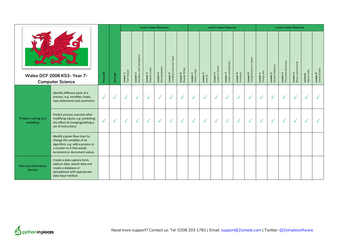|                                  |                                                                                                                                                               |              |           |                         |                                                       |                          | <b>Level 1 Lesson Resources</b> |                                      |                          |                         |                     |                             | <b>Level 2 Lesson Resources</b> |                       |                                                 |                         |                              |                                     | <b>Level 3 Lesson Resources</b> |                       |                           |
|----------------------------------|---------------------------------------------------------------------------------------------------------------------------------------------------------------|--------------|-----------|-------------------------|-------------------------------------------------------|--------------------------|---------------------------------|--------------------------------------|--------------------------|-------------------------|---------------------|-----------------------------|---------------------------------|-----------------------|-------------------------------------------------|-------------------------|------------------------------|-------------------------------------|---------------------------------|-----------------------|---------------------------|
|                                  | Wales DCF 2008 KS3- Year 7-<br><b>Computer Science</b>                                                                                                        | Free code    | Micro:bit | Lesson 1<br>Text Output | Calculations<br>$_{\sf and}$<br>Lesson 2<br>Numbers a | Lesson 3<br>Repeat Loops | Lesson 4<br>Moving Sprites      | Lesson 5<br>Variables and User Input | Lesson 6<br>Repeat While | Lesson 1<br>While Loops | Lesson 2<br>And, Or | Lesson 3<br>Loops in Action | Lesson 4<br>Loops and Selection | Lesson 5<br>Functions | a Game<br>$\equiv$<br>Lesson 6<br>Using Sound i | Lesson 1<br>Using Lists | Lesson 2<br>Nested Selection | Generator<br>Lesson 3<br>Password ( | Binary and Decimal<br>Lesson 4  | Lesson5<br>Morse Code | Lesson 6<br>Linear Search |
|                                  | Identify different parts of a<br>process, e.g. variables, loops,<br>case statements and comments                                                              | $\checkmark$ | $\sqrt{}$ | $\checkmark$            | $\checkmark$                                          | $\sqrt{}$                | $\checkmark$                    | $\sqrt{}$                            | $\sqrt{}$                | $\sqrt{}$               | $\sqrt{}$           | $\checkmark$                | $\checkmark$                    | $\checkmark$          | $\checkmark$                                    | $\checkmark$            | $\checkmark$                 | $\checkmark$                        | $\checkmark$                    | $\sqrt{}$             | $\sqrt{}$                 |
| Problem-solving and<br>modelling | Predict process outcome after<br>modifying inputs, e.g. predicting<br>the effect of changing/editing a<br>set of instructions                                 | $\checkmark$ | $\sqrt{}$ | $\sqrt{}$               | $\sqrt{}$                                             | $\checkmark$             | $\checkmark$                    | $\sqrt{}$                            | $\checkmark$             | $\checkmark$            | $\sqrt{}$           | $\checkmark$                | $\checkmark$                    | $\checkmark$          | $\checkmark$                                    | $\mathbf{v}$            | $\sqrt{}$                    | $\checkmark$                        | $\checkmark$                    | $\checkmark$          | $\sqrt{}$                 |
|                                  | Modify a given flow chart to<br>change the variables of an<br>algorithm, e.g. add a process or<br>a counter to it that would<br>increment or decrement values |              |           |                         |                                                       |                          |                                 |                                      |                          |                         |                     |                             |                                 |                       |                                                 |                         |                              |                                     |                                 |                       |                           |
| Data and information<br>literacy | Create a data capture form,<br>capture data, search data and<br>create a database or<br>spreadsheet with appropriate<br>data input method                     |              |           |                         |                                                       |                          |                                 |                                      |                          |                         |                     |                             |                                 |                       |                                                 |                         |                              |                                     |                                 |                       |                           |

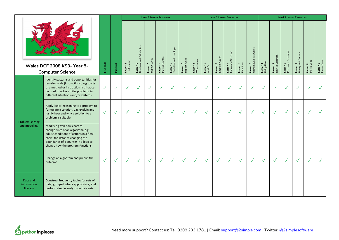|                                     |                                                                                                                                                                                                                              |              |              |              |                                      |                          | <b>Level 1 Lesson Resources</b> |                                             |                          |                         |                     |                             | <b>Level 2 Lesson Resources</b> |                              |                                   |                         |                              |                                | <b>Level 3 Lesson Resources</b> |                       |                           |
|-------------------------------------|------------------------------------------------------------------------------------------------------------------------------------------------------------------------------------------------------------------------------|--------------|--------------|--------------|--------------------------------------|--------------------------|---------------------------------|---------------------------------------------|--------------------------|-------------------------|---------------------|-----------------------------|---------------------------------|------------------------------|-----------------------------------|-------------------------|------------------------------|--------------------------------|---------------------------------|-----------------------|---------------------------|
|                                     | Wales DCF 2008 KS3- Year 8-<br><b>Computer Science</b>                                                                                                                                                                       |              |              |              | Lesson 2<br>Numbers and Calculations | Lesson 3<br>Repeat Loops | Lesson 4<br>Moving Sprites      | <b>Lesson 5</b><br>Variables and User Input | Lesson 6<br>Repeat While | Lesson 1<br>While Loops | Lesson 2<br>And, Or | Lesson 3<br>Loops in Action | Lesson 4<br>Loops and Selection | <b>Lesson 5</b><br>Functions | Lesson 6<br>Using Sound in a Game | Lesson 1<br>Using Lists | Lesson 2<br>Nested Selection | Lesson 3<br>Password Generator | Binary and Decimal<br>Lesson 4  | Lesson5<br>Morse Code | Lesson 6<br>Linear Search |
|                                     | Identify patterns and opportunities for<br>re-using code (instructions), e.g. parts<br>of a method or instruction list that can<br>be used to solve similar problems in<br>different situations and/or systems               | $\checkmark$ | $\checkmark$ | $\sqrt{}$    | $\checkmark$                         | $\sqrt{ }$               | $\checkmark$                    | $\checkmark$                                | $\sqrt{}$                | $\checkmark$            | $\checkmark$        | $\checkmark$                | $\checkmark$                    | $\checkmark$                 | $\checkmark$                      | $\checkmark$            | $\sqrt{}$                    | $\checkmark$                   | $\checkmark$                    | $\checkmark$          |                           |
| Problem-solving                     | Apply logical reasoning to a problem to<br>formulate a solution, e.g. explain and<br>justify how and why a solution to a<br>problem is suitable                                                                              | $\checkmark$ | $\checkmark$ | $\checkmark$ | $\checkmark$                         | $\sqrt{ }$               | $\checkmark$                    | $\sqrt{}$                                   | $\sqrt{}$                | $\checkmark$            | $\checkmark$        | $\checkmark$                | $\checkmark$                    | $\sqrt{}$                    | $\checkmark$                      | $\checkmark$            | $\checkmark$                 | $\checkmark$                   | $\checkmark$                    | $\checkmark$          |                           |
| and modelling                       | Modify a given flow chart to<br>change rules of an algorithm, e.g.<br>adjust conditions of actions in a flow<br>chart, for instance changing the<br>boundaries of a counter in a loop to<br>change how the program functions |              |              |              |                                      |                          |                                 |                                             |                          |                         |                     |                             |                                 |                              |                                   |                         |                              |                                |                                 |                       |                           |
|                                     | Change an algorithm and predict the<br>outcome                                                                                                                                                                               | $\checkmark$ | $\checkmark$ | $\sqrt{}$    | $\checkmark$                         | $\sqrt{ }$               | $\sqrt{}$                       | $\checkmark$                                | $\checkmark$             | $\sqrt{ }$              | $\checkmark$        | $\checkmark$                | $\checkmark$                    | $\checkmark$                 | $\sqrt{}$                         | $\sqrt{}$               | $\sqrt{}$                    | $\checkmark$                   | $\checkmark$                    | $\sqrt{}$             |                           |
| Data and<br>information<br>literacy | Construct frequency tables for sets of<br>data, grouped where appropriate, and<br>perform simple analysis on data sets.                                                                                                      |              |              |              |                                      |                          |                                 |                                             |                          |                         |                     |                             |                                 |                              |                                   |                         |                              |                                |                                 |                       |                           |